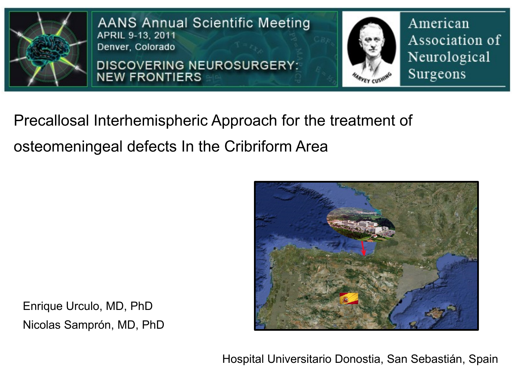

**AANS Annual Scientific Meeting** APRIL 9-13, 2011 Denver, Colorado

**DISCOVERING NEUROSURGERY: NEW FRONTIERS** 



American Association of Neurological Surgeons

Precallosal Interhemispheric Approach for the treatment of osteomeningeal defects In the Cribriform Area



Enrique Urculo, MD, PhD Nicolas Samprón, MD, PhD

Hospital Universitario Donostia, San Sebastián, Spain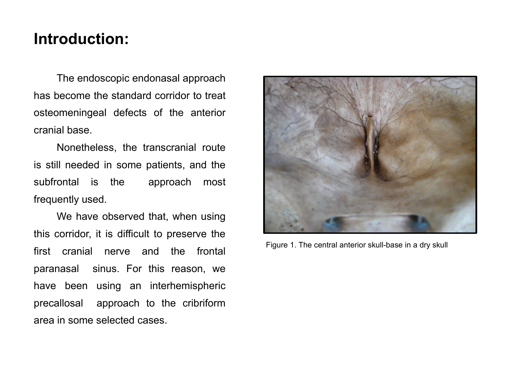## **Introduction:**

The endoscopic endonasal approach has become the standard corridor to treat osteomeningeal defects of the anterior cranial base.

Nonetheless, the transcranial route is still needed in some patients, and the subfrontal is the approach most frequently used.

We have observed that, when using this corridor, it is difficult to preserve the first cranial nerve and the frontal paranasal sinus. For this reason, we have been using an interhemispheric precallosal approach to the cribriform area in some selected cases.



Figure 1. The central anterior skull-base in a dry skull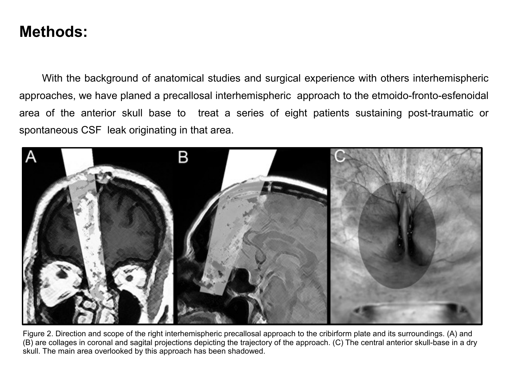## **Methods:**

With the background of anatomical studies and surgical experience with others interhemispheric approaches, we have planed a precallosal interhemispheric approach to the etmoido-fronto-esfenoidal area of the anterior skull base to treat a series of eight patients sustaining post-traumatic or spontaneous CSF leak originating in that area.



Figure 2. Direction and scope of the right interhemispheric precallosal approach to the cribirform plate and its surroundings. (A) and (B) are collages in coronal and sagital projections depicting the trajectory of the approach. (C) The central anterior skull-base in a dry skull. The main area overlooked by this approach has been shadowed.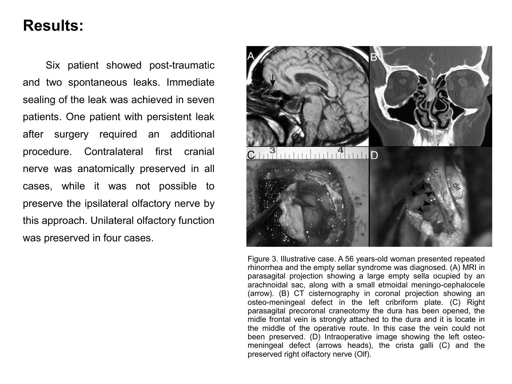## **Results:**

Six patient showed post-traumatic and two spontaneous leaks. Immediate sealing of the leak was achieved in seven patients. One patient with persistent leak after surgery required an additional procedure. Contralateral first cranial nerve was anatomically preserved in all cases, while it was not possible to preserve the ipsilateral olfactory nerve by this approach. Unilateral olfactory function was preserved in four cases.



Figure 3. Illustrative case. A 56 years-old woman presented repeated rhinorrhea and the empty sellar syndrome was diagnosed. (A) MRI in parasagital projection showing a large empty sella ocupied by an arachnoidal sac, along with a small etmoidal meningo-cephalocele (arrow). (B) CT cisternography in coronal projection showing an osteo-meningeal defect in the left cribriform plate. (C) Right parasagital precoronal craneotomy the dura has been opened, the midle frontal vein is strongly attached to the dura and it is locate in the middle of the operative route. In this case the vein could not been preserved. (D) Intraoperative image showing the left osteomeningeal defect (arrows heads), the crista galli (C) and the preserved right olfactory nerve (Olf).